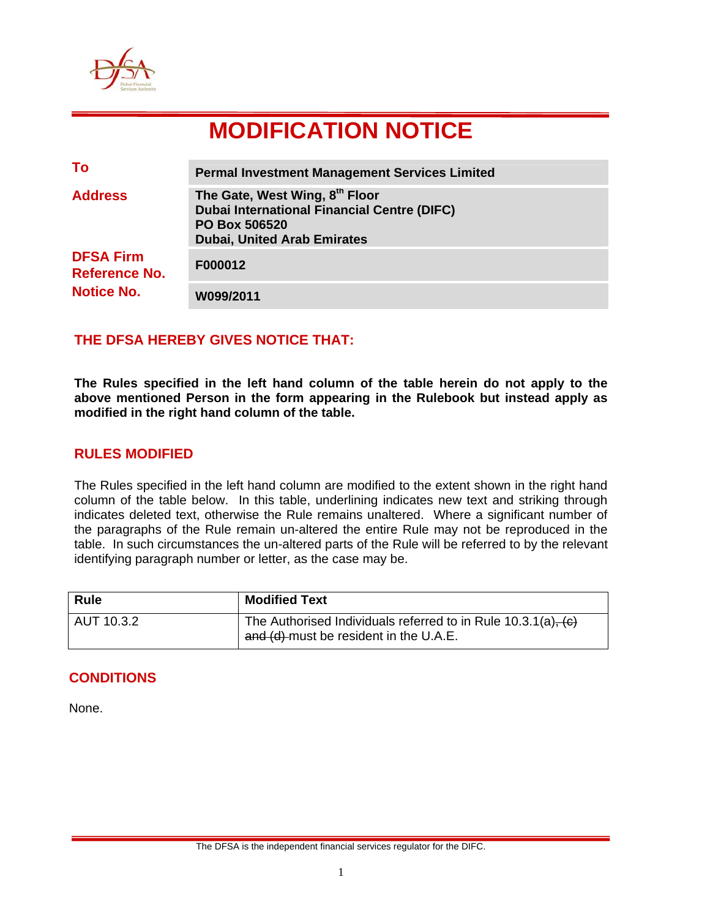

# **MODIFICATION NOTICE**

| To                                       | <b>Permal Investment Management Services Limited</b>                                                                                               |
|------------------------------------------|----------------------------------------------------------------------------------------------------------------------------------------------------|
| <b>Address</b>                           | The Gate, West Wing, 8th Floor<br><b>Dubai International Financial Centre (DIFC)</b><br><b>PO Box 506520</b><br><b>Dubai, United Arab Emirates</b> |
| <b>DFSA Firm</b><br><b>Reference No.</b> | F000012                                                                                                                                            |
| <b>Notice No.</b>                        | W099/2011                                                                                                                                          |

## **THE DFSA HEREBY GIVES NOTICE THAT:**

**The Rules specified in the left hand column of the table herein do not apply to the above mentioned Person in the form appearing in the Rulebook but instead apply as modified in the right hand column of the table.** 

### **RULES MODIFIED**

The Rules specified in the left hand column are modified to the extent shown in the right hand column of the table below. In this table, underlining indicates new text and striking through indicates deleted text, otherwise the Rule remains unaltered. Where a significant number of the paragraphs of the Rule remain un-altered the entire Rule may not be reproduced in the table. In such circumstances the un-altered parts of the Rule will be referred to by the relevant identifying paragraph number or letter, as the case may be.

| <b>Rule</b> | <b>Modified Text</b>                                                                                         |
|-------------|--------------------------------------------------------------------------------------------------------------|
| AUT 10.3.2  | The Authorised Individuals referred to in Rule $10.3.1(a)$ , $(c)$<br>and (d) must be resident in the U.A.E. |

#### **CONDITIONS**

None.